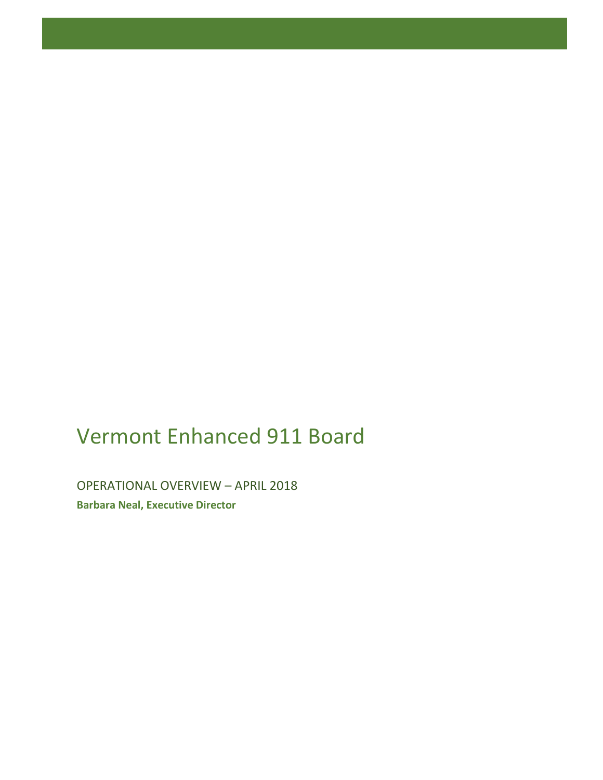# Vermont Enhanced 911 Board

OPERATIONAL OVERVIEW – APRIL 2018 **Barbara Neal, Executive Director**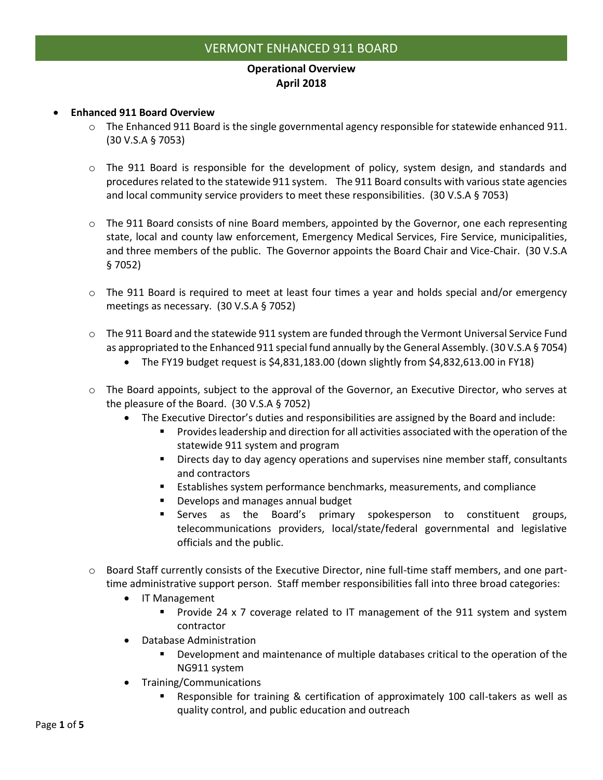## **Operational Overview April 2018**

#### • **Enhanced 911 Board Overview**

- $\circ$  The Enhanced 911 Board is the single governmental agency responsible for statewide enhanced 911. (30 V.S.A § 7053)
- $\circ$  The 911 Board is responsible for the development of policy, system design, and standards and procedures related to the statewide 911 system. The 911 Board consults with various state agencies and local community service providers to meet these responsibilities. (30 V.S.A § 7053)
- $\circ$  The 911 Board consists of nine Board members, appointed by the Governor, one each representing state, local and county law enforcement, Emergency Medical Services, Fire Service, municipalities, and three members of the public. The Governor appoints the Board Chair and Vice-Chair. (30 V.S.A § 7052)
- o The 911 Board is required to meet at least four times a year and holds special and/or emergency meetings as necessary. (30 V.S.A § 7052)
- o The 911 Board and the statewide 911 system are funded through the Vermont Universal Service Fund as appropriated to the Enhanced 911 special fund annually by the General Assembly. (30 V.S.A § 7054)
	- The FY19 budget request is \$4,831,183.00 (down slightly from \$4,832,613.00 in FY18)
- o The Board appoints, subject to the approval of the Governor, an Executive Director, who serves at the pleasure of the Board. (30 V.S.A § 7052)
	- The Executive Director's duties and responsibilities are assigned by the Board and include:
		- Provides leadership and direction for all activities associated with the operation of the statewide 911 system and program
		- **EXECT** Directs day to day agency operations and supervises nine member staff, consultants and contractors
		- Establishes system performance benchmarks, measurements, and compliance
		- Develops and manages annual budget
		- **E** Serves as the Board's primary spokesperson to constituent groups, telecommunications providers, local/state/federal governmental and legislative officials and the public.
- o Board Staff currently consists of the Executive Director, nine full-time staff members, and one parttime administrative support person. Staff member responsibilities fall into three broad categories:
	- IT Management
		- Provide 24 x 7 coverage related to IT management of the 911 system and system contractor
	- Database Administration
		- Development and maintenance of multiple databases critical to the operation of the NG911 system
	- Training/Communications
		- Responsible for training & certification of approximately 100 call-takers as well as quality control, and public education and outreach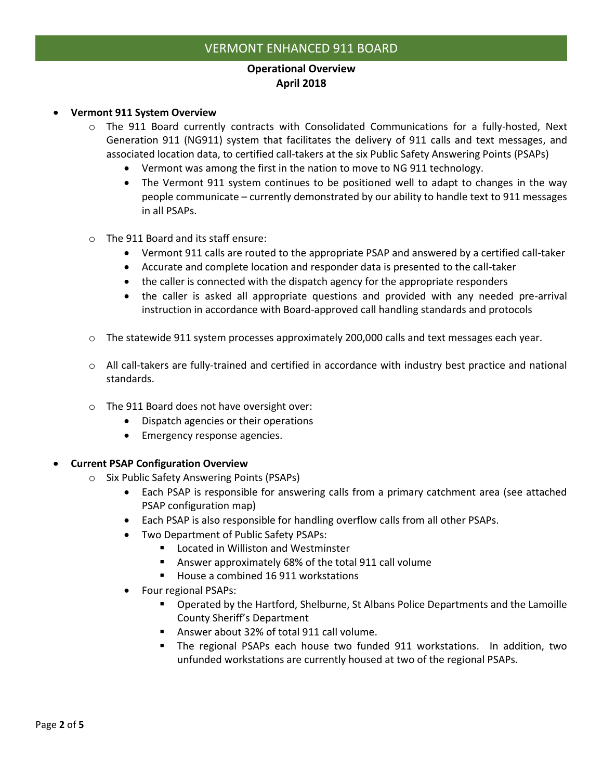### **Operational Overview April 2018**

- **Vermont 911 System Overview**
	- $\circ$  The 911 Board currently contracts with Consolidated Communications for a fully-hosted, Next Generation 911 (NG911) system that facilitates the delivery of 911 calls and text messages, and associated location data, to certified call-takers at the six Public Safety Answering Points (PSAPs)
		- Vermont was among the first in the nation to move to NG 911 technology.
		- The Vermont 911 system continues to be positioned well to adapt to changes in the way people communicate – currently demonstrated by our ability to handle text to 911 messages in all PSAPs.
	- o The 911 Board and its staff ensure:
		- Vermont 911 calls are routed to the appropriate PSAP and answered by a certified call-taker
		- Accurate and complete location and responder data is presented to the call-taker
		- the caller is connected with the dispatch agency for the appropriate responders
		- the caller is asked all appropriate questions and provided with any needed pre-arrival instruction in accordance with Board-approved call handling standards and protocols
	- $\circ$  The statewide 911 system processes approximately 200,000 calls and text messages each year.
	- $\circ$  All call-takers are fully-trained and certified in accordance with industry best practice and national standards.
	- o The 911 Board does not have oversight over:
		- Dispatch agencies or their operations
		- Emergency response agencies.

#### • **Current PSAP Configuration Overview**

- o Six Public Safety Answering Points (PSAPs)
	- Each PSAP is responsible for answering calls from a primary catchment area (see attached PSAP configuration map)
	- Each PSAP is also responsible for handling overflow calls from all other PSAPs.
	- Two Department of Public Safety PSAPs:
		- Located in Williston and Westminster
		- Answer approximately 68% of the total 911 call volume
		- House a combined 16 911 workstations
	- Four regional PSAPs:
		- Operated by the Hartford, Shelburne, St Albans Police Departments and the Lamoille County Sheriff's Department
		- Answer about 32% of total 911 call volume.
		- The regional PSAPs each house two funded 911 workstations. In addition, two unfunded workstations are currently housed at two of the regional PSAPs.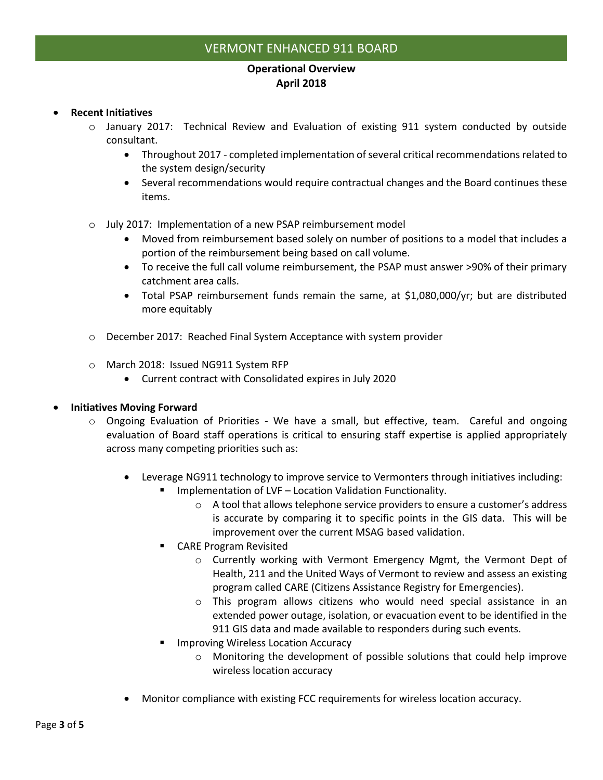## **Operational Overview April 2018**

#### • **Recent Initiatives**

- o January 2017: Technical Review and Evaluation of existing 911 system conducted by outside consultant.
	- Throughout 2017 completed implementation of several critical recommendations related to the system design/security
	- Several recommendations would require contractual changes and the Board continues these items.
- o July 2017: Implementation of a new PSAP reimbursement model
	- Moved from reimbursement based solely on number of positions to a model that includes a portion of the reimbursement being based on call volume.
	- To receive the full call volume reimbursement, the PSAP must answer >90% of their primary catchment area calls.
	- Total PSAP reimbursement funds remain the same, at \$1,080,000/yr; but are distributed more equitably
- o December 2017: Reached Final System Acceptance with system provider
- o March 2018: Issued NG911 System RFP
	- Current contract with Consolidated expires in July 2020

#### • **Initiatives Moving Forward**

- o Ongoing Evaluation of Priorities We have a small, but effective, team. Careful and ongoing evaluation of Board staff operations is critical to ensuring staff expertise is applied appropriately across many competing priorities such as:
	- Leverage NG911 technology to improve service to Vermonters through initiatives including:
		- Implementation of LVF Location Validation Functionality.
			- $\circ$  A tool that allows telephone service providers to ensure a customer's address is accurate by comparing it to specific points in the GIS data. This will be improvement over the current MSAG based validation.
		- CARE Program Revisited
			- $\circ$  Currently working with Vermont Emergency Mgmt, the Vermont Dept of Health, 211 and the United Ways of Vermont to review and assess an existing program called CARE (Citizens Assistance Registry for Emergencies).
			- o This program allows citizens who would need special assistance in an extended power outage, isolation, or evacuation event to be identified in the 911 GIS data and made available to responders during such events.
		- Improving Wireless Location Accuracy
			- $\circ$  Monitoring the development of possible solutions that could help improve wireless location accuracy
	- Monitor compliance with existing FCC requirements for wireless location accuracy.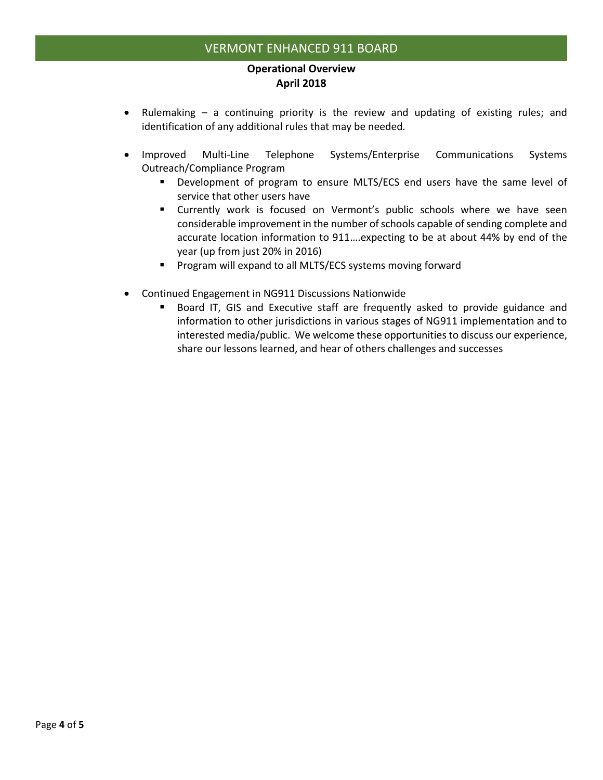#### **Operational Overview April 2018**

- Rulemaking a continuing priority is the review and updating of existing rules; and identification of any additional rules that may be needed*.*
- Improved Multi-Line Telephone Systems/Enterprise Communications Systems Outreach/Compliance Program
	- Development of program to ensure MLTS/ECS end users have the same level of service that other users have
	- **E** Currently work is focused on Vermont's public schools where we have seen considerable improvement in the number of schools capable of sending complete and accurate location information to 911….expecting to be at about 44% by end of the year (up from just 20% in 2016)
	- Program will expand to all MLTS/ECS systems moving forward
- Continued Engagement in NG911 Discussions Nationwide
	- Board IT, GIS and Executive staff are frequently asked to provide guidance and information to other jurisdictions in various stages of NG911 implementation and to interested media/public. We welcome these opportunities to discuss our experience, share our lessons learned, and hear of others challenges and successes